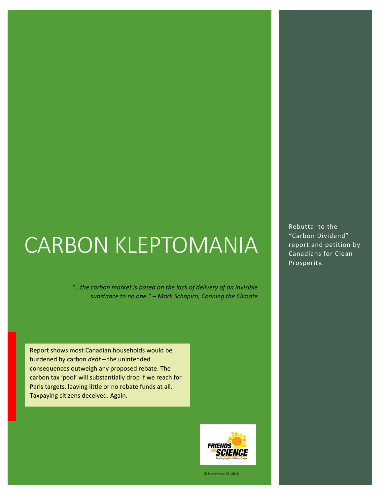# CARBON KLEPTOMANIA

*"…the carbon market is based on the lack of delivery of an invisible substance to no one." – Mark Schapiro, Conning the Climate* 

Report shows most Canadian households would be burdened by carbon *debt* – the unintended consequences outweigh any proposed rebate. The carbon tax 'pool' will substantially drop if we reach for Paris targets, leaving little or no rebate funds at all. Taxpaying citizens deceived. Again.



© September 26, 2018

Rebuttal to the "Carbon Dividend" report and petition by Canadians for Clean Prosperity.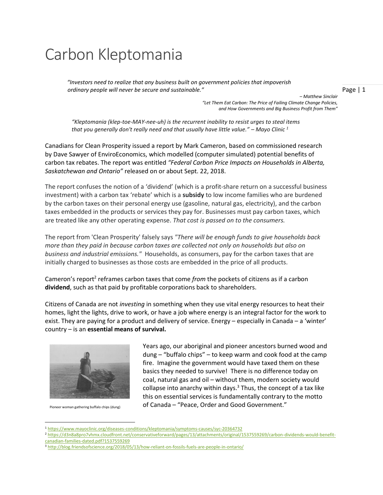## Carbon Kleptomania

*"Investors need to realize that any business built on government policies that impoverish ordinary people will never be secure and sustainable."*

Page | 1

*– Matthew Sinclair "Let Them Eat Carbon: The Price of Failing Climate Change Policies, and How Governments and Big Business Profit from Them"*

*"Kleptomania (klep-toe-MAY-nee-uh) is the recurrent inability to resist urges to steal items that you generally don't really need and that usually have little value." – Mayo Clinic <sup>1</sup>*

Canadians for Clean Prosperity issued a report by Mark Cameron, based on commissioned research by Dave Sawyer of EnviroEconomics, which modelled (computer simulated) potential benefits of carbon tax rebates. The report was entitled *"Federal Carbon Price Impacts on Households in Alberta, Saskatchewan and Ontario"* released on or about Sept. 22, 2018.

The report confuses the notion of a 'dividend' (which is a profit-share return on a successful business investment) with a carbon tax 'rebate' which is a **subsidy** to low income families who are burdened by the carbon taxes on their personal energy use (gasoline, natural gas, electricity), and the carbon taxes embedded in the products or services they pay for. Businesses must pay carbon taxes, which are treated like any other operating expense. *That cost is passed on to the consumers.*

The report from 'Clean Prosperity' falsely says *"There will be enough funds to give households back more than they paid in because carbon taxes are collected not only on households but also on business and industrial emissions."* Households, as consumers, pay for the carbon taxes that are initially charged to businesses as those costs are embedded in the price of all products.

Cameron's report<sup>2</sup> reframes carbon taxes that come *from* the pockets of citizens as if a carbon **dividend**, such as that paid by profitable corporations back to shareholders.

Citizens of Canada are not *investing* in something when they use vital energy resources to heat their homes, light the lights, drive to work, or have a job where energy is an integral factor for the work to exist. They are paying for a product and delivery of service. Energy – especially in Canada – a 'winter' country – is an **essential means of survival.**



Pioneer woman gathering buffalo chips (dung)

l

Years ago, our aboriginal and pioneer ancestors burned wood and dung – "buffalo chips" – to keep warm and cook food at the camp fire. Imagine the government would have taxed them on these basics they needed to survive! There is no difference today on coal, natural gas and oil – without them, modern society would collapse into anarchy within days. $3$  Thus, the concept of a tax like this on essential services is fundamentally contrary to the motto of Canada – "Peace, Order and Good Government."

<sup>1</sup> <https://www.mayoclinic.org/diseases-conditions/kleptomania/symptoms-causes/syc-20364732>

<sup>2</sup> [https://d3n8a8pro7vhmx.cloudfront.net/conservativeforward/pages/13/attachments/original/1537559269/carbon-dividends-would-benefit](https://d3n8a8pro7vhmx.cloudfront.net/conservativeforward/pages/13/attachments/original/1537559269/carbon-dividends-would-benefit-canadian-families-dated.pdf?1537559269)[canadian-families-dated.pdf?1537559269](https://d3n8a8pro7vhmx.cloudfront.net/conservativeforward/pages/13/attachments/original/1537559269/carbon-dividends-would-benefit-canadian-families-dated.pdf?1537559269)

<sup>&</sup>lt;sup>3</sup> <http://blog.friendsofscience.org/2018/05/13/how-reliant-on-fossils-fuels-are-people-in-ontario/>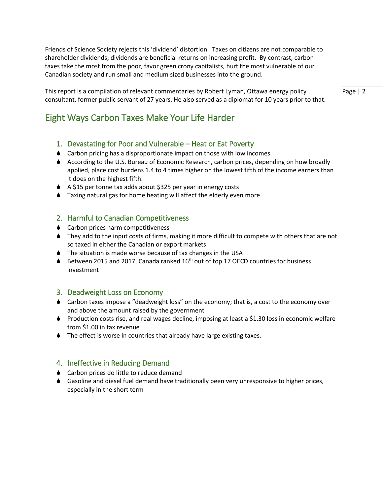Friends of Science Society rejects this 'dividend' distortion. Taxes on citizens are not comparable to shareholder dividends; dividends are beneficial returns on increasing profit. By contrast, carbon taxes take the most from the poor, favor green crony capitalists, hurt the most vulnerable of our Canadian society and run small and medium sized businesses into the ground.

This report is a compilation of relevant commentaries by Robert Lyman, Ottawa energy policy consultant, former public servant of 27 years. He also served as a diplomat for 10 years prior to that. Page | 2

#### Eight Ways Carbon Taxes Make Your Life Harder

#### 1. Devastating for Poor and Vulnerable – Heat or Eat Poverty

- ♦ Carbon pricing has a disproportionate impact on those with low incomes.
- According to the U.S. Bureau of Economic Research, carbon prices, depending on how broadly applied, place cost burdens 1.4 to 4 times higher on the lowest fifth of the income earners than it does on the highest fifth.
- ♦ A \$15 per tonne tax adds about \$325 per year in energy costs
- Taxing natural gas for home heating will affect the elderly even more.

#### 2. Harmful to Canadian Competitiveness

- ♦ Carbon prices harm competitiveness
- They add to the input costs of firms, making it more difficult to compete with others that are not so taxed in either the Canadian or export markets
- ♦ The situation is made worse because of tax changes in the USA
- $\blacklozenge$  Between 2015 and 2017, Canada ranked 16<sup>th</sup> out of top 17 OECD countries for business investment

#### 3. Deadweight Loss on Economy

- Carbon taxes impose a "deadweight loss" on the economy; that is, a cost to the economy over and above the amount raised by the government
- ♦ Production costs rise, and real wages decline, imposing at least a \$1.30 loss in economic welfare from \$1.00 in tax revenue
- ◆ The effect is worse in countries that already have large existing taxes.

#### 4. Ineffective in Reducing Demand

 $\overline{\phantom{a}}$ 

- ♦ Carbon prices do little to reduce demand
- Gasoline and diesel fuel demand have traditionally been very unresponsive to higher prices, especially in the short term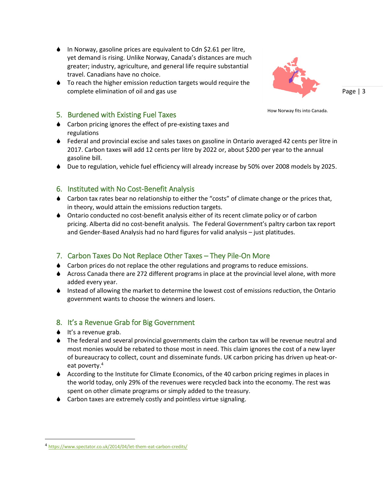- $\bullet$  In Norway, gasoline prices are equivalent to Cdn \$2.61 per litre, yet demand is rising. Unlike Norway, Canada's distances are much greater; industry, agriculture, and general life require substantial travel. Canadians have no choice.
- $\bullet$  To reach the higher emission reduction targets would require the complete elimination of oil and gas use

How Norway fits into Canada.

Page | 3

#### 5. Burdened with Existing Fuel Taxes

- Carbon pricing ignores the effect of pre-existing taxes and regulations
- Federal and provincial excise and sales taxes on gasoline in Ontario averaged 42 cents per litre in 2017. Carbon taxes will add 12 cents per litre by 2022 or, about \$200 per year to the annual gasoline bill.
- Due to regulation, vehicle fuel efficiency will already increase by 50% over 2008 models by 2025.

#### 6. Instituted with No Cost-Benefit Analysis

- Carbon tax rates bear no relationship to either the "costs" of climate change or the prices that, in theory, would attain the emissions reduction targets.
- Ontario conducted no cost-benefit analysis either of its recent climate policy or of carbon pricing. Alberta did no cost-benefit analysis. The Federal Government's paltry carbon tax report and Gender-Based Analysis had no hard figures for valid analysis – just platitudes.

#### 7. Carbon Taxes Do Not Replace Other Taxes – They Pile-On More

- Carbon prices do not replace the other regulations and programs to reduce emissions.
- Across Canada there are 272 different programs in place at the provincial level alone, with more added every year.
- Instead of allowing the market to determine the lowest cost of emissions reduction, the Ontario government wants to choose the winners and losers.

#### 8. It's a Revenue Grab for Big Government

 $\bullet$  It's a revenue grab.

 $\overline{\phantom{a}}$ 

- The federal and several provincial governments claim the carbon tax will be revenue neutral and most monies would be rebated to those most in need. This claim ignores the cost of a new layer of bureaucracy to collect, count and disseminate funds. UK carbon pricing has driven up heat-oreat poverty.<sup>4</sup>
- According to the Institute for Climate Economics, of the 40 carbon pricing regimes in places in the world today, only 29% of the revenues were recycled back into the economy. The rest was spent on other climate programs or simply added to the treasury.
- Carbon taxes are extremely costly and pointless virtue signaling.

<sup>4</sup> <https://www.spectator.co.uk/2014/04/let-them-eat-carbon-credits/>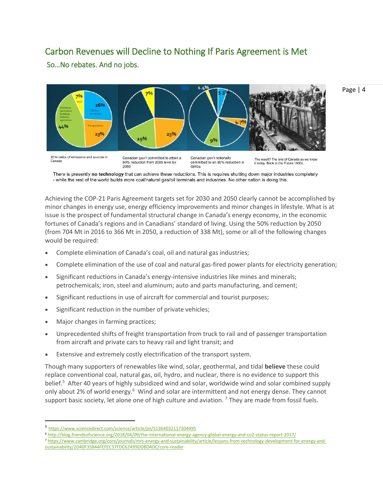#### Carbon Revenues will Decline to Nothing If Paris Agreement is Met

So…No rebates. And no jobs.



There is presently no technology that can achieve these reductions. This is requires shutting down major industries completely - while the rest of the world builds more coal/natural gas/oil terminals and industries. No other nation is doing this.

Achieving the COP-21 Paris Agreement targets set for 2030 and 2050 clearly cannot be accomplished by minor changes in energy use, energy efficiency improvements and minor changes in lifestyle. What is at issue is the prospect of fundamental structural change in Canada's energy economy, in the economic fortunes of Canada's regions and in Canadians' standard of living. Using the 50% reduction by 2050 (from 704 Mt in 2016 to 366 Mt in 2050, a reduction of 338 Mt), some or all of the following changes would be required:

- Complete elimination of Canada's coal, oil and natural gas industries;
- Complete elimination of the use of coal and natural gas-fired power plants for electricity generation;
- Significant reductions in Canada's energy-intensive industries like mines and minerals; petrochemicals; iron, steel and aluminum; auto and parts manufacturing, and cement;
- Significant reductions in use of aircraft for commercial and tourist purposes;
- Significant reduction in the number of private vehicles;
- Major changes in farming practices;

 $\overline{\phantom{a}}$ 

- Unprecedented shifts of freight transportation from truck to rail and of passenger transportation from aircraft and private cars to heavy rail and light transit; and
- Extensive and extremely costly electrification of the transport system.

Though many supporters of renewables like wind, solar, geothermal, and tidal **believe** these could replace conventional coal, natural gas, oil, hydro, and nuclear, there is no evidence to support this belief.<sup>5</sup> After 40 years of highly subsidized wind and solar, worldwide wind and solar combined supply only about 2% of world energy.<sup>6</sup> Wind and solar are intermittent and not energy dense. They cannot support basic society, let alone one of high culture and aviation. <sup>7</sup> They are made from fossil fuels.

<sup>5</sup> <https://www.sciencedirect.com/science/article/pii/S1364032117304495>

<sup>6</sup> <http://blog.friendsofscience.org/2018/04/09/the-international-energy-agency-global-energy-and-co2-status-report-2017/>

<sup>7</sup> https://www.cambridge.org/core/journals/mrs-energy-and-sustainability/article/lessons-from-technology-development-for-energy-andsustainability/2D40F35844FEFEC37FDC62499DDBD4DC/core-reader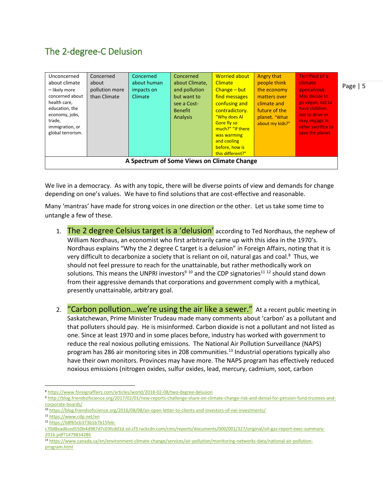### The 2-degree-C Delusion

| Unconcerned<br>about climate<br>- likely more<br>concerned about<br>health care,<br>education, the<br>economy, jobs,<br>trade,<br>immigration, or<br>global terrorism. | Concerned<br>about<br>pollution more<br>than Climate | Concerned<br>about human<br>impacts on<br>Climate | Concerned<br>about Climate,<br>and pollution<br>but want to<br>see a Cost-<br><b>Benefit</b><br>Analysis | <b>Worried about</b><br><b>Climate</b><br>$Change - but$<br>find messages<br>confusing and<br>contradictory.<br>"Why does Al<br>Gore fly so<br>much?" "If there<br>was warming<br>and cooling<br>before, how is<br>this different?" | Angry that<br>people think<br>the economy<br>matters over<br>climate and<br>future of the<br>planet. "What<br>about my kids?" | <b>Terrified of a</b><br><b>climate</b><br>apocalypse.<br>May decide to<br>go vegan, not to<br>have children,<br>not to drive or<br>may engage in<br>other sacrifice to<br>save the planet. |  |
|------------------------------------------------------------------------------------------------------------------------------------------------------------------------|------------------------------------------------------|---------------------------------------------------|----------------------------------------------------------------------------------------------------------|-------------------------------------------------------------------------------------------------------------------------------------------------------------------------------------------------------------------------------------|-------------------------------------------------------------------------------------------------------------------------------|---------------------------------------------------------------------------------------------------------------------------------------------------------------------------------------------|--|
| A Spectrum of Some Views on Climate Change                                                                                                                             |                                                      |                                                   |                                                                                                          |                                                                                                                                                                                                                                     |                                                                                                                               |                                                                                                                                                                                             |  |

We live in a democracy. As with any topic, there will be diverse points of view and demands for change depending on one's values. We have to find solutions that are cost-effective and reasonable.

Many 'mantras' have made for strong voices in one direction or the other. Let us take some time to untangle a few of these.

- 1. The 2 degree Celsius target is a 'delusion' according to Ted Nordhaus, the nephew of William Nordhaus, an economist who first arbitrarily came up with this idea in the 1970's. Nordhaus explains "Why the 2 degree C target is a delusion" in Foreign Affairs, noting that it is very difficult to decarbonize a society that is reliant on oil, natural gas and coal.<sup>8</sup> Thus, we should not feel pressure to reach for the unattainable, but rather methodically work on solutions. This means the UNPRI investors<sup>9 10</sup> and the CDP signatories<sup>11 12</sup> should stand down from their aggressive demands that corporations and government comply with a mythical, presently unattainable, arbitrary goal.
- 2. "Carbon pollution...we're using the air like a sewer." At a recent public meeting in Saskatchewan, Prime Minister Trudeau made many comments about 'carbon' as a pollutant and that polluters should pay. He is misinformed. Carbon dioxide is not a pollutant and not listed as one. Since at least 1970 and in some places before, industry has worked with government to reduce the real noxious polluting emissions. The National Air Pollution Surveillance (NAPS) program has 286 air monitoring sites in 208 communities.<sup>13</sup> Industrial operations typically also have their own monitors. Provinces may have more. The NAPS program has effectively reduced noxious emissions (nitrogen oxides, sulfur oxides, lead, mercury, cadmium, soot, carbon

 $\overline{a}$ 

<sup>8</sup> <https://www.foreignaffairs.com/articles/world/2018-02-08/two-degree-delusion>

<sup>9</sup> [http://blog.friendsofscience.org/2017/02/01/new-reports-challenge-share-on-climate-change-risk-and-denial-for-pension-fund-trustees-and](http://blog.friendsofscience.org/2017/02/01/new-reports-challenge-share-on-climate-change-risk-and-denial-for-pension-fund-trustees-and-corporate-boards/)[corporate-boards/](http://blog.friendsofscience.org/2017/02/01/new-reports-challenge-share-on-climate-change-risk-and-denial-for-pension-fund-trustees-and-corporate-boards/)

<sup>10</sup> <https://blog.friendsofscience.org/2016/08/08/an-open-letter-to-clients-and-investors-of-nei-investments/>

<sup>11</sup> <https://www.cdp.net/en>

<sup>12</sup> [https://b8f65cb373b1b7b15feb-](https://b8f65cb373b1b7b15feb-c70d8ead6ced550b4d987d7c03fcdd1d.ssl.cf3.rackcdn.com/cms/reports/documents/000/001/327/original/oil-gas-report-exec-summary-2016.pdf?1479834286)

[c70d8ead6ced550b4d987d7c03fcdd1d.ssl.cf3.rackcdn.com/cms/reports/documents/000/001/327/original/oil-gas-report-exec-summary-](https://b8f65cb373b1b7b15feb-c70d8ead6ced550b4d987d7c03fcdd1d.ssl.cf3.rackcdn.com/cms/reports/documents/000/001/327/original/oil-gas-report-exec-summary-2016.pdf?1479834286)[2016.pdf?1479834286](https://b8f65cb373b1b7b15feb-c70d8ead6ced550b4d987d7c03fcdd1d.ssl.cf3.rackcdn.com/cms/reports/documents/000/001/327/original/oil-gas-report-exec-summary-2016.pdf?1479834286)

<sup>13</sup> [https://www.canada.ca/en/environment-climate-change/services/air-pollution/monitoring-networks-data/national-air-pollution](https://www.canada.ca/en/environment-climate-change/services/air-pollution/monitoring-networks-data/national-air-pollution-program.html)[program.html](https://www.canada.ca/en/environment-climate-change/services/air-pollution/monitoring-networks-data/national-air-pollution-program.html)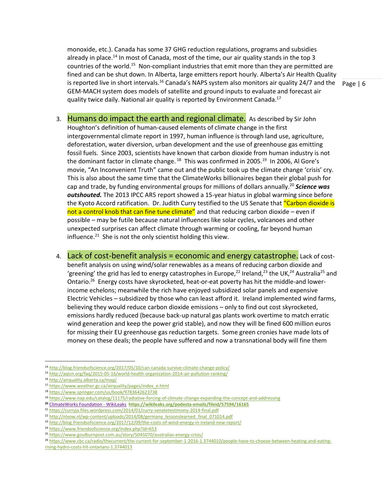is reported live in short intervals.<sup>16</sup> Canada's NAPS system also monitors air quality 24/7 and the  $\;$  Page | 6 monoxide, etc.). Canada has some 37 GHG reduction regulations, programs and subsidies already in place.<sup>14</sup> In most of Canada, most of the time, our air quality stands in the top 3 countries of the world.<sup>15</sup> Non-compliant industries that emit more than they are permitted are fined and can be shut down. In Alberta, large emitters report hourly. Alberta's Air Health Quality GEM-MACH system does models of satellite and ground inputs to evaluate and forecast air quality twice daily. National air quality is reported by Environment Canada.<sup>17</sup>

- 3. Humans do impact the earth and regional climate. As described by Sir John Houghton's definition of human-caused elements of climate change in the first intergovernmental climate report in 1997, human influence is through land use, agriculture, deforestation, water diversion, urban development and the use of greenhouse gas emitting fossil fuels. Since 2003, scientists have known that carbon dioxide from human industry is not the dominant factor in climate change. <sup>18</sup> This was confirmed in 2005.<sup>19</sup> In 2006, Al Gore's movie, "An Inconvenient Truth" came out and the public took up the climate change 'crisis' cry. This is also about the same time that the ClimateWorks billionaires began their global push for cap and trade, by funding environmental groups for millions of dollars annually. <sup>20</sup> *Science was outshouted.* The 2013 IPCC AR5 report showed a 15-year hiatus in global warming since before the Kyoto Accord ratification. Dr. Judith Curry testified to the US Senate that "Carbon dioxide is not a control knob that can fine tune climate" and that reducing carbon dioxide – even if possible – may be futile because natural influences like solar cycles, volcanoes and other unexpected surprises can affect climate through warming or cooling, far beyond human influence.<sup>21</sup> She is not the only scientist holding this view.
- 4. Lack of cost-benefit analysis = economic and energy catastrophe. Lack of costbenefit analysis on using wind/solar renewables as a means of reducing carbon dioxide and 'greening' the grid has led to energy catastrophes in Europe,<sup>22</sup> Ireland,<sup>23</sup> the UK,<sup>24</sup> Australia<sup>25</sup> and Ontario.<sup>26</sup> Energy costs have skyrocketed, heat-or-eat poverty has hit the middle-and lowerincome echelons; meanwhile the rich have enjoyed subsidized solar panels and expensive Electric Vehicles – subsidized by those who can least afford it. Ireland implemented wind farms, believing they would reduce carbon dioxide emissions – only to find out cost skyrocketed, emissions hardly reduced (because back-up natural gas plants work overtime to match erratic wind generation and keep the power grid stable), and now they will be fined 600 million euros for missing their EU greenhouse gas reduction targets. Some green cronies have made lots of money on these deals; the people have suffered and now a transnational body will fine them

 $\overline{a}$ 

<sup>21</sup> <https://curryja.files.wordpress.com/2014/01/curry-senatetestimony-2014-final.pdf>

<sup>14</sup> <http://blog.friendsofscience.org/2017/05/10/can-canada-survive-climate-change-policy/>

<sup>15</sup> <http://aqicn.org/faq/2015-05-16/world-health-organization-2014-air-pollution-ranking/>

<sup>16</sup> <http://airquality.alberta.ca/map/>

<sup>17</sup> [https://www.weather.gc.ca/airquality/pages/index\\_e.html](https://www.weather.gc.ca/airquality/pages/index_e.html)

<sup>18</sup> <https://www.springer.com/us/book/9783642623738>

<sup>19</sup> <https://www.nap.edu/catalog/11175/radiative-forcing-of-climate-change-expanding-the-concept-and-addressing>

**<sup>20</sup>** [ClimateWorks Foundation -](https://wikileaks.org/podesta-emails/fileid/57594/16165) WikiLeaks **<https://wikileaks.org/podesta-emails/fileid/57594/16165>**

<sup>&</sup>lt;sup>22</sup> [http://nlvow.nl/wp-content/uploads/2014/08/germany\\_lessonslearned\\_final\\_071014.pdf](http://nlvow.nl/wp-content/uploads/2014/08/germany_lessonslearned_final_071014.pdf)

<sup>&</sup>lt;sup>23</sup> <http://blog.friendsofscience.org/2017/12/09/the-costs-of-wind-energy-in-ireland-new-report/>

<sup>&</sup>lt;sup>24</sup> <https://www.friendsofscience.org/index.php?id=653>

<sup>25</sup> <https://www.goulburnpost.com.au/story/5045070/australias-energy-crisis/>

<sup>26</sup> [https://www.cbc.ca/radio/thecurrent/the-current-for-september-1-2016-1.3744010/people-have-to-choose-between-heating-and-eating](https://www.cbc.ca/radio/thecurrent/the-current-for-september-1-2016-1.3744010/people-have-to-choose-between-heating-and-eating-rising-hydro-costs-hit-ontarians-1.3744013)[rising-hydro-costs-hit-ontarians-1.3744013](https://www.cbc.ca/radio/thecurrent/the-current-for-september-1-2016-1.3744010/people-have-to-choose-between-heating-and-eating-rising-hydro-costs-hit-ontarians-1.3744013)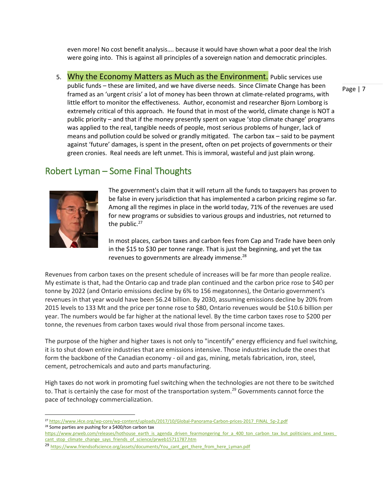even more! No cost benefit analysis…. because it would have shown what a poor deal the Irish were going into. This is against all principles of a sovereign nation and democratic principles.

5. Why the Economy Matters as Much as the Environment. Public services use public funds – these are limited, and we have diverse needs. Since Climate Change has been framed as an 'urgent crisis' a lot of money has been thrown at climate-related programs, with little effort to monitor the effectiveness. Author, economist and researcher Bjorn Lomborg is extremely critical of this approach. He found that in most of the world, climate change is NOT a public priority – and that if the money presently spent on vague 'stop climate change' programs was applied to the real, tangible needs of people, most serious problems of hunger, lack of means and pollution could be solved or grandly mitigated. The carbon tax – said to be payment against 'future' damages, is spent in the present, often on pet projects of governments or their green cronies. Real needs are left unmet. This is immoral, wasteful and just plain wrong.

#### Robert Lyman – Some Final Thoughts



 $\overline{\phantom{a}}$ 

The government's claim that it will return all the funds to taxpayers has proven to be false in every jurisdiction that has implemented a carbon pricing regime so far. Among all the regimes in place in the world today, 71% of the revenues are used for new programs or subsidies to various groups and industries, not returned to the public.<sup>27</sup>

In most places, carbon taxes and carbon fees from Cap and Trade have been only in the \$15 to \$30 per tonne range. That is just the beginning, and yet the tax revenues to governments are already immense.<sup>28</sup>

Revenues from carbon taxes on the present schedule of increases will be far more than people realize. My estimate is that, had the Ontario cap and trade plan continued and the carbon price rose to \$40 per tonne by 2022 (and Ontario emissions decline by 6% to 156 megatonnes), the Ontario government's revenues in that year would have been \$6.24 billion. By 2030, assuming emissions decline by 20% from 2015 levels to 133 Mt and the price per tonne rose to \$80, Ontario revenues would be \$10.6 billion per year. The numbers would be far higher at the national level. By the time carbon taxes rose to \$200 per tonne, the revenues from carbon taxes would rival those from personal income taxes.

The purpose of the higher and higher taxes is not only to "incentify" energy efficiency and fuel switching, it is to shut down entire industries that are emissions intensive. Those industries include the ones that form the backbone of the Canadian economy - oil and gas, mining, metals fabrication, iron, steel, cement, petrochemicals and auto and parts manufacturing.

High taxes do not work in promoting fuel switching when the technologies are not there to be switched to. That is certainly the case for most of the transportation system.<sup>29</sup> Governments cannot force the pace of technology commercialization.

<sup>27</sup> [https://www.i4ce.org/wp-core/wp-content/uploads/2017/10/Global-Panorama-Carbon-prices-2017\\_FINAL\\_5p-2.pdf](https://www.i4ce.org/wp-core/wp-content/uploads/2017/10/Global-Panorama-Carbon-prices-2017_FINAL_5p-2.pdf) <sup>28</sup> Some parties are pushing for a \$400/ton carbon tax

[https://www.prweb.com/releases/hothouse\\_earth\\_is\\_agenda\\_driven\\_fearmongering\\_for\\_a\\_400\\_ton\\_carbon\\_tax\\_but\\_politicians\\_and\\_taxes\\_](https://www.prweb.com/releases/hothouse_earth_is_agenda_driven_fearmongering_for_a_400_ton_carbon_tax_but_politicians_and_taxes_cant_stop_climate_change_says_friends_of_science/prweb15711787.htm) [cant\\_stop\\_climate\\_change\\_says\\_friends\\_of\\_science/prweb15711787.htm](https://www.prweb.com/releases/hothouse_earth_is_agenda_driven_fearmongering_for_a_400_ton_carbon_tax_but_politicians_and_taxes_cant_stop_climate_change_says_friends_of_science/prweb15711787.htm)

<sup>&</sup>lt;sup>29</sup> [https://www.friendsofscience.org/assets/documents/You\\_cant\\_get\\_there\\_from\\_here\\_Lyman.pdf](https://www.friendsofscience.org/assets/documents/You_cant_get_there_from_here_Lyman.pdf)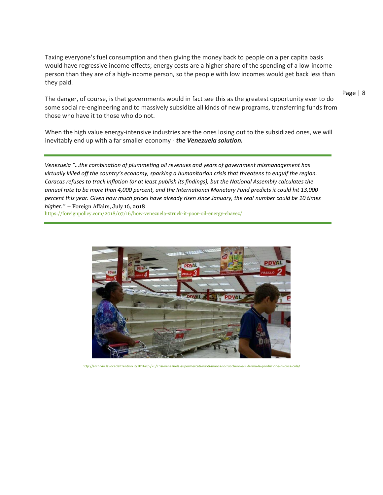Taxing everyone's fuel consumption and then giving the money back to people on a per capita basis would have regressive income effects; energy costs are a higher share of the spending of a low-income person than they are of a high-income person, so the people with low incomes would get back less than they paid.

The danger, of course, is that governments would in fact see this as the greatest opportunity ever to do some social re-engineering and to massively subsidize all kinds of new programs, transferring funds from those who have it to those who do not.

When the high value energy-intensive industries are the ones losing out to the subsidized ones, we will inevitably end up with a far smaller economy - *the Venezuela solution.*

*Venezuela "…the combination of plummeting oil revenues and years of government mismanagement has virtually killed off the country's economy, sparking a humanitarian crisis that threatens to engulf the region. Caracas refuses to track inflation (or at least publish its findings), but the National Assembly calculates the annual rate to be more than 4,000 percent, and the International Monetary Fund predicts it could hit 13,000 percent this year. Given how much prices have already risen since January, the real number could be 10 times higher."* – Foreign Affairs, July 16, 2018

<https://foreignpolicy.com/2018/07/16/how-venezuela-struck-it-poor-oil-energy-chavez/>



<http://archivio.lavocedeltrentino.it/2016/05/26/crisi-venezuela-supermercati-vuoti-manca-lo-zucchero-e-si-ferma-la-produzione-di-coca-cola/>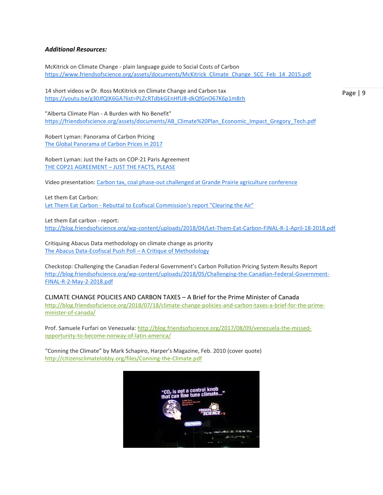#### *Additional Resources:*

McKitrick on Climate Change - plain language guide to Social Costs of Carbon [https://www.friendsofscience.org/assets/documents/McKitrick\\_Climate\\_Change\\_SCC\\_Feb\\_14\\_2015.pdf](https://www.friendsofscience.org/assets/documents/McKitrick_Climate_Change_SCC_Feb_14_2015.pdf)

14 short videos w Dr. Ross McKitrick on Climate Change and Carbon tax <https://youtu.be/g30JfQIK6GA?list=PLZcRTdbkGEnHfU8-dkQfGnO67K6p1m8rh>

Page | 9

"Alberta Climate Plan - A Burden with No Benefit" [https://friendsofscience.org/assets/documents/AB\\_Climate%20Plan\\_Economic\\_Impact\\_Gregory\\_Tech.pdf](https://friendsofscience.org/assets/documents/AB_Climate%20Plan_Economic_Impact_Gregory_Tech.pdf)

Robert Lyman: Panorama of Carbon Pricing [The Global Panorama of Carbon Prices in 2017](http://blog.friendsofscience.org/2018/03/18/the-global-panorama-of-carbon-prices-in-2017/)

Robert Lyman: Just the Facts on COP-21 Paris Agreement [THE COP21 AGREEMENT](http://blog.friendsofscience.org/2017/06/09/the-cop21-agreement-just-the-facts-please/) – JUST THE FACTS, PLEASE

Video presentation: [Carbon tax, coal phase-out challenged at Grande Prairie agriculture conference](https://youtu.be/MWL6-nm1g_U)

Let them Eat Carbon: Let Them Eat Carbon - [Rebuttal to Ecofiscal Commission's report "Clearing the Air"](https://youtu.be/xBYbtQRzV2k)

Let them Eat carbon - report: <http://blog.friendsofscience.org/wp-content/uploads/2018/04/Let-Them-Eat-Carbon-FINAL-R-1-April-18-2018.pdf>

Critiquing Abacus Data methodology on climate change as priority [The Abacus Data-Ecofiscal Push Poll](http://blog.friendsofscience.org/2018/04/11/the-abacus-data-ecofiscal-push-poll-a-critique-of-methodology/) – A Critique of Methodology

Checkstop: Challenging the Canadian Federal Government's Carbon Pollution Pricing System Results Report [http://blog.friendsofscience.org/wp-content/uploads/2018/05/Challenging-the-Canadian-Federal-Government-](http://blog.friendsofscience.org/wp-content/uploads/2018/05/Challenging-the-Canadian-Federal-Government-FINAL-R-2-May-2-2018.pdf)[FINAL-R-2-May-2-2018.pdf](http://blog.friendsofscience.org/wp-content/uploads/2018/05/Challenging-the-Canadian-Federal-Government-FINAL-R-2-May-2-2018.pdf)

CLIMATE CHANGE POLICIES AND CARBON TAXES – A Brief for the Prime Minister of Canada [http://blog.friendsofscience.org/2018/07/18/climate-change-policies-and-carbon-taxes-a-brief-for-the-prime](http://blog.friendsofscience.org/2018/07/18/climate-change-policies-and-carbon-taxes-a-brief-for-the-prime-minister-of-canada/)[minister-of-canada/](http://blog.friendsofscience.org/2018/07/18/climate-change-policies-and-carbon-taxes-a-brief-for-the-prime-minister-of-canada/)

Prof. Samuele Furfari on Venezuela: [http://blog.friendsofscience.org/2017/08/09/venezuela-the-missed](http://blog.friendsofscience.org/2017/08/09/venezuela-the-missed-opportunity-to-become-norway-of-latin-america/)[opportunity-to-become-norway-of-latin-america/](http://blog.friendsofscience.org/2017/08/09/venezuela-the-missed-opportunity-to-become-norway-of-latin-america/)

"Conning the Climate" by Mark Schapiro, Harper's Magazine, Feb. 2010 (cover quote) <http://citizensclimatelobby.org/files/Conning-the-Climate.pdf>